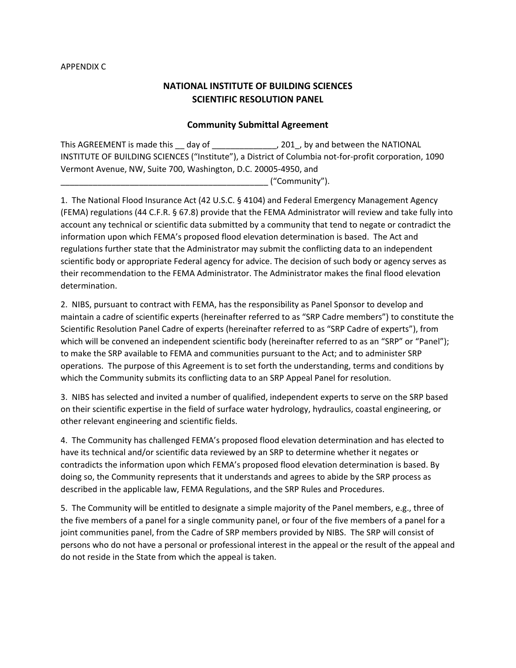## APPENDIX C

## **NATIONAL INSTITUTE OF BUILDING SCIENCES SCIENTIFIC RESOLUTION PANEL**

## **Community Submittal Agreement**

This AGREEMENT is made this \_\_ day of \_\_\_\_\_\_\_\_\_\_\_\_\_\_\_, 201\_, by and between the NATIONAL INSTITUTE OF BUILDING SCIENCES ("Institute"), a District of Columbia not-for-profit corporation, 1090 Vermont Avenue, NW, Suite 700, Washington, D.C. 20005-4950, and  $($ "Community").

1. The National Flood Insurance Act (42 U.S.C. § 4104) and Federal Emergency Management Agency (FEMA) regulations (44 C.F.R. § 67.8) provide that the FEMA Administrator will review and take fully into account any technical or scientific data submitted by a community that tend to negate or contradict the information upon which FEMA's proposed flood elevation determination is based. The Act and regulations further state that the Administrator may submit the conflicting data to an independent scientific body or appropriate Federal agency for advice. The decision of such body or agency serves as their recommendation to the FEMA Administrator. The Administrator makes the final flood elevation determination.

2. NIBS, pursuant to contract with FEMA, has the responsibility as Panel Sponsor to develop and maintain a cadre of scientific experts (hereinafter referred to as "SRP Cadre members") to constitute the Scientific Resolution Panel Cadre of experts (hereinafter referred to as "SRP Cadre of experts"), from which will be convened an independent scientific body (hereinafter referred to as an "SRP" or "Panel"); to make the SRP available to FEMA and communities pursuant to the Act; and to administer SRP operations. The purpose of this Agreement is to set forth the understanding, terms and conditions by which the Community submits its conflicting data to an SRP Appeal Panel for resolution.

3. NIBS has selected and invited a number of qualified, independent experts to serve on the SRP based on their scientific expertise in the field of surface water hydrology, hydraulics, coastal engineering, or other relevant engineering and scientific fields.

4. The Community has challenged FEMA's proposed flood elevation determination and has elected to have its technical and/or scientific data reviewed by an SRP to determine whether it negates or contradicts the information upon which FEMA's proposed flood elevation determination is based. By doing so, the Community represents that it understands and agrees to abide by the SRP process as described in the applicable law, FEMA Regulations, and the SRP Rules and Procedures.

5. The Community will be entitled to designate a simple majority of the Panel members, e.g., three of the five members of a panel for a single community panel, or four of the five members of a panel for a joint communities panel, from the Cadre of SRP members provided by NIBS. The SRP will consist of persons who do not have a personal or professional interest in the appeal or the result of the appeal and do not reside in the State from which the appeal is taken.